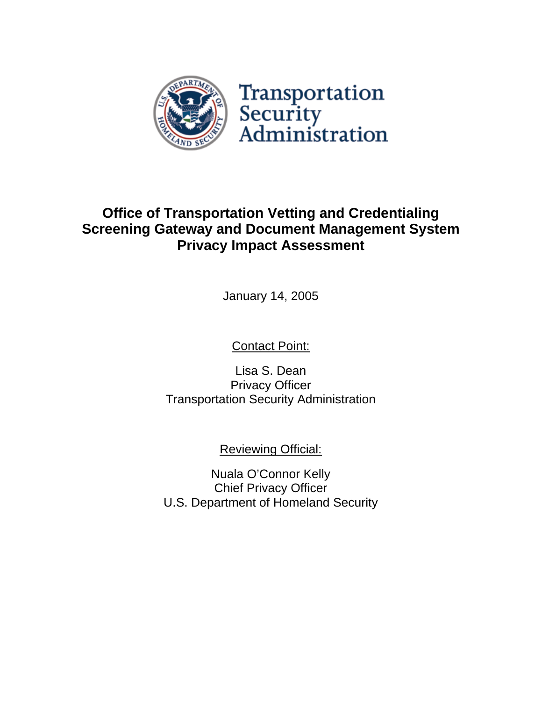

# **Office of Transportation Vetting and Credentialing Screening Gateway and Document Management System Privacy Impact Assessment**

January 14, 2005

Contact Point:

Lisa S. Dean Privacy Officer Transportation Security Administration

Reviewing Official:

Nuala O'Connor Kelly Chief Privacy Officer U.S. Department of Homeland Security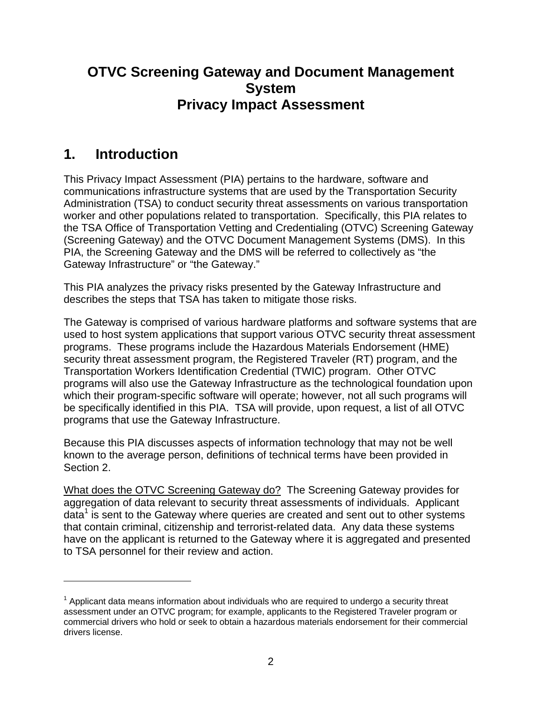## **OTVC Screening Gateway and Document Management System Privacy Impact Assessment**

## **1. Introduction**

1

This Privacy Impact Assessment (PIA) pertains to the hardware, software and communications infrastructure systems that are used by the Transportation Security Administration (TSA) to conduct security threat assessments on various transportation worker and other populations related to transportation. Specifically, this PIA relates to the TSA Office of Transportation Vetting and Credentialing (OTVC) Screening Gateway (Screening Gateway) and the OTVC Document Management Systems (DMS). In this PIA, the Screening Gateway and the DMS will be referred to collectively as "the Gateway Infrastructure" or "the Gateway."

This PIA analyzes the privacy risks presented by the Gateway Infrastructure and describes the steps that TSA has taken to mitigate those risks.

The Gateway is comprised of various hardware platforms and software systems that are used to host system applications that support various OTVC security threat assessment programs. These programs include the Hazardous Materials Endorsement (HME) security threat assessment program, the Registered Traveler (RT) program, and the Transportation Workers Identification Credential (TWIC) program. Other OTVC programs will also use the Gateway Infrastructure as the technological foundation upon which their program-specific software will operate; however, not all such programs will be specifically identified in this PIA. TSA will provide, upon request, a list of all OTVC programs that use the Gateway Infrastructure.

Because this PIA discusses aspects of information technology that may not be well known to the average person, definitions of technical terms have been provided in Section 2.

What does the OTVC Screening Gateway do? The Screening Gateway provides for aggregation of data relevant to security threat assessments of individuals. Applicant  $d$ data<sup>1</sup> is sent to the Gateway where queries are created and sent out to other systems that contain criminal, citizenship and terrorist-related data. Any data these systems have on the applicant is returned to the Gateway where it is aggregated and presented to TSA personnel for their review and action.

 $1$  Applicant data means information about individuals who are required to undergo a security threat assessment under an OTVC program; for example, applicants to the Registered Traveler program or commercial drivers who hold or seek to obtain a hazardous materials endorsement for their commercial drivers license.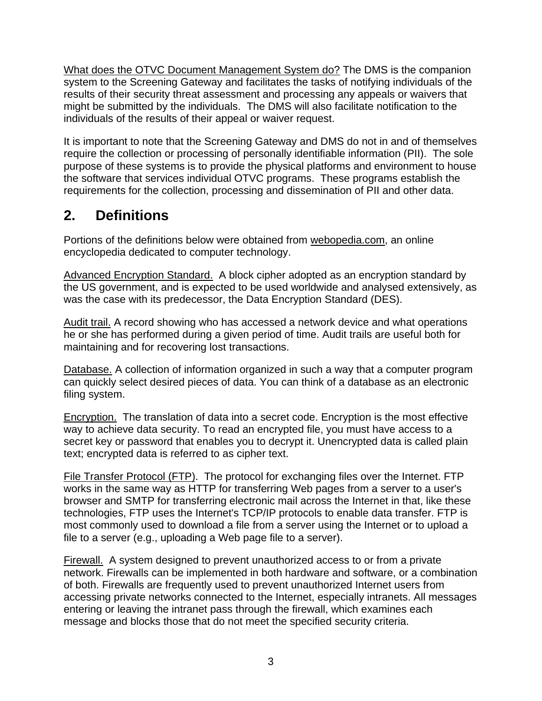What does the OTVC Document Management System do? The DMS is the companion system to the Screening Gateway and facilitates the tasks of notifying individuals of the results of their security threat assessment and processing any appeals or waivers that might be submitted by the individuals. The DMS will also facilitate notification to the individuals of the results of their appeal or waiver request.

It is important to note that the Screening Gateway and DMS do not in and of themselves require the collection or processing of personally identifiable information (PII). The sole purpose of these systems is to provide the physical platforms and environment to house the software that services individual OTVC programs. These programs establish the requirements for the collection, processing and dissemination of PII and other data.

# **2. Definitions**

Portions of the definitions below were obtained from webopedia.com, an online encyclopedia dedicated to computer technology.

Advanced Encryption Standard. A block cipher adopted as an encryption standard by the US government, and is expected to be used worldwide and analysed extensively, as was the case with its predecessor, the Data Encryption Standard (DES).

Audit trail. A record showing who has accessed a network device and what operations he or she has performed during a given period of time. Audit trails are useful both for maintaining and for recovering lost transactions.

Database. A collection of information organized in such a way that a computer program can quickly select desired pieces of data. You can think of a database as an electronic filing system.

Encryption. The translation of data into a secret code. Encryption is the most effective way to achieve data security. To read an encrypted file, you must have access to a secret key or password that enables you to decrypt it. Unencrypted data is called plain text; encrypted data is referred to as cipher text.

File Transfer Protocol (FTP). The protocol for exchanging files over the Internet. FTP works in the same way as HTTP for transferring Web pages from a server to a user's browser and SMTP for transferring electronic mail across the Internet in that, like these technologies, FTP uses the Internet's TCP/IP protocols to enable data transfer. FTP is most commonly used to download a file from a server using the Internet or to upload a file to a server (e.g., uploading a Web page file to a server).

Firewall. A system designed to prevent unauthorized access to or from a private network. Firewalls can be implemented in both hardware and software, or a combination of both. Firewalls are frequently used to prevent unauthorized Internet users from accessing private networks connected to the Internet, especially intranets. All messages entering or leaving the intranet pass through the firewall, which examines each message and blocks those that do not meet the specified security criteria.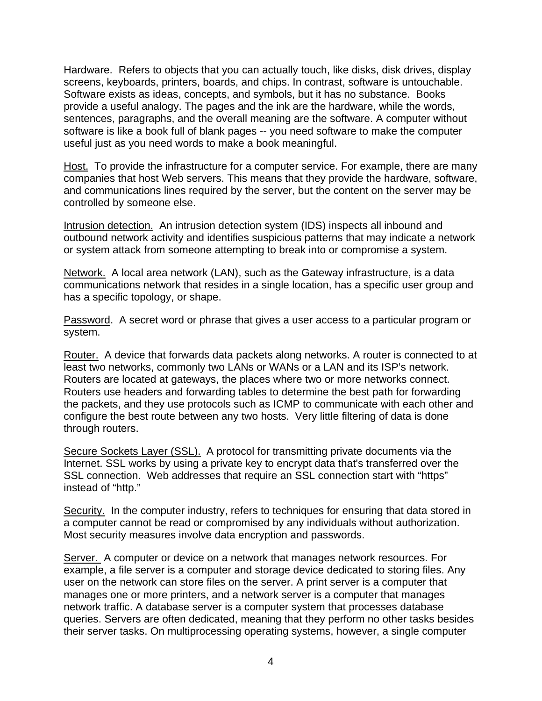Hardware. Refers to objects that you can actually touch, like disks, disk drives, display screens, keyboards, printers, boards, and chips. In contrast, software is untouchable. Software exists as ideas, concepts, and symbols, but it has no substance. Books provide a useful analogy. The pages and the ink are the hardware, while the words, sentences, paragraphs, and the overall meaning are the software. A computer without software is like a book full of blank pages -- you need software to make the computer useful just as you need words to make a book meaningful.

Host. To provide the infrastructure for a computer service. For example, there are many companies that host Web servers. This means that they provide the hardware, software, and communications lines required by the server, but the content on the server may be controlled by someone else.

Intrusion detection. An intrusion detection system (IDS) inspects all inbound and outbound network activity and identifies suspicious patterns that may indicate a network or system attack from someone attempting to break into or compromise a system.

Network. A local area network (LAN), such as the Gateway infrastructure, is a data communications network that resides in a single location, has a specific user group and has a specific topology, or shape.

Password. A secret word or phrase that gives a user access to a particular program or system.

Router. A device that forwards data packets along networks. A router is connected to at least two networks, commonly two LANs or WANs or a LAN and its ISP's network. Routers are located at gateways, the places where two or more networks connect. Routers use headers and forwarding tables to determine the best path for forwarding the packets, and they use protocols such as ICMP to communicate with each other and configure the best route between any two hosts. Very little filtering of data is done through routers.

Secure Sockets Layer (SSL). A protocol for transmitting private documents via the Internet. SSL works by using a private key to encrypt data that's transferred over the SSL connection. Web addresses that require an SSL connection start with "https" instead of "http."

Security. In the computer industry, refers to techniques for ensuring that data stored in a computer cannot be read or compromised by any individuals without authorization. Most security measures involve data encryption and passwords.

Server. A computer or device on a network that manages network resources. For example, a file server is a computer and storage device dedicated to storing files. Any user on the network can store files on the server. A print server is a computer that manages one or more printers, and a network server is a computer that manages network traffic. A database server is a computer system that processes database queries. Servers are often dedicated, meaning that they perform no other tasks besides their server tasks. On multiprocessing operating systems, however, a single computer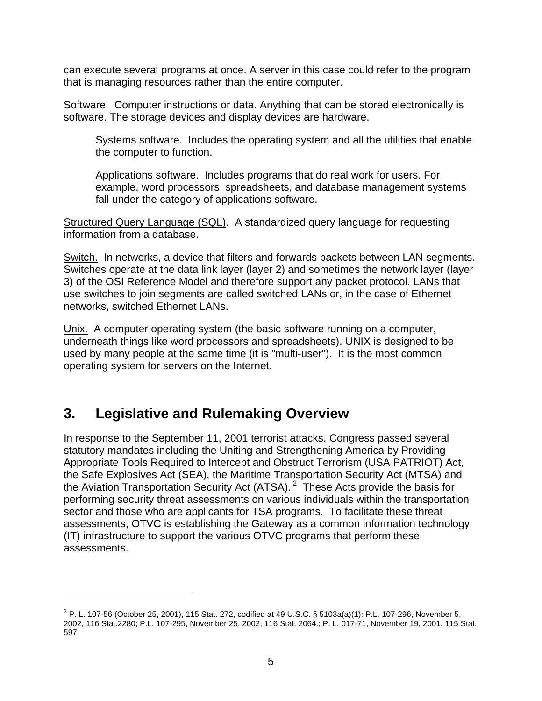can execute several programs at once. A server in this case could refer to the program that is managing resources rather than the entire computer.

Software. Computer instructions or data. Anything that can be stored electronically is software. The storage devices and display devices are hardware.

Systems software. Includes the operating system and all the utilities that enable the computer to function.

Applications software. Includes programs that do real work for users. For example, word processors, spreadsheets, and database management systems fall under the category of applications software.

Structured Query Language (SQL). A standardized query language for requesting information from a database.

Switch. In networks, a device that filters and forwards packets between LAN segments. Switches operate at the data link layer (layer 2) and sometimes the network layer (layer 3) of the OSI Reference Model and therefore support any packet protocol. LANs that use switches to join segments are called switched LANs or, in the case of Ethernet networks, switched Ethernet LANs.

Unix. A computer operating system (the basic software running on a computer, underneath things like word processors and spreadsheets). UNIX is designed to be used by many people at the same time (it is "multi-user"). It is the most common operating system for servers on the Internet.

## **3. Legislative and Rulemaking Overview**

 $\overline{a}$ 

In response to the September 11, 2001 terrorist attacks, Congress passed several statutory mandates including the Uniting and Strengthening America by Providing Appropriate Tools Required to Intercept and Obstruct Terrorism (USA PATRIOT) Act, the Safe Explosives Act (SEA), the Maritime Transportation Security Act (MTSA) and the Aviation Transportation Security Act (ATSA). 2 These Acts provide the basis for performing security threat assessments on various individuals within the transportation sector and those who are applicants for TSA programs. To facilitate these threat assessments, OTVC is establishing the Gateway as a common information technology (IT) infrastructure to support the various OTVC programs that perform these assessments.

<sup>&</sup>lt;sup>2</sup> P. L. 107-56 (October 25, 2001), 115 Stat. 272, codified at 49 U.S.C. § 5103a(a)(1): P.L. 107-296, November 5, 2002, 116 Stat.2280; P.L. 107-295, November 25, 2002, 116 Stat. 2064.; P. L. 017-71, November 19, 2001, 115 Stat. 597.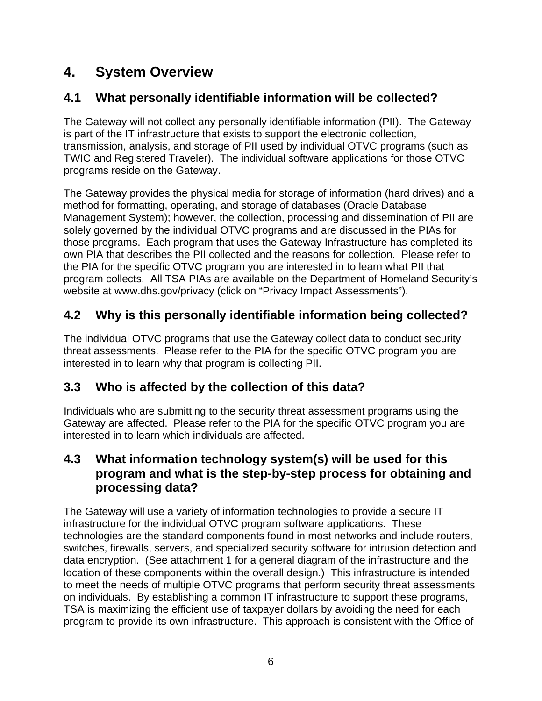# **4. System Overview**

## **4.1 What personally identifiable information will be collected?**

The Gateway will not collect any personally identifiable information (PII). The Gateway is part of the IT infrastructure that exists to support the electronic collection, transmission, analysis, and storage of PII used by individual OTVC programs (such as TWIC and Registered Traveler). The individual software applications for those OTVC programs reside on the Gateway.

The Gateway provides the physical media for storage of information (hard drives) and a method for formatting, operating, and storage of databases (Oracle Database Management System); however, the collection, processing and dissemination of PII are solely governed by the individual OTVC programs and are discussed in the PIAs for those programs. Each program that uses the Gateway Infrastructure has completed its own PIA that describes the PII collected and the reasons for collection. Please refer to the PIA for the specific OTVC program you are interested in to learn what PII that program collects. All TSA PIAs are available on the Department of Homeland Security's website at www.dhs.gov/privacy (click on "Privacy Impact Assessments").

## **4.2 Why is this personally identifiable information being collected?**

The individual OTVC programs that use the Gateway collect data to conduct security threat assessments. Please refer to the PIA for the specific OTVC program you are interested in to learn why that program is collecting PII.

## **3.3 Who is affected by the collection of this data?**

Individuals who are submitting to the security threat assessment programs using the Gateway are affected. Please refer to the PIA for the specific OTVC program you are interested in to learn which individuals are affected.

### **4.3 What information technology system(s) will be used for this program and what is the step-by-step process for obtaining and processing data?**

The Gateway will use a variety of information technologies to provide a secure IT infrastructure for the individual OTVC program software applications. These technologies are the standard components found in most networks and include routers, switches, firewalls, servers, and specialized security software for intrusion detection and data encryption. (See attachment 1 for a general diagram of the infrastructure and the location of these components within the overall design.) This infrastructure is intended to meet the needs of multiple OTVC programs that perform security threat assessments on individuals. By establishing a common IT infrastructure to support these programs, TSA is maximizing the efficient use of taxpayer dollars by avoiding the need for each program to provide its own infrastructure. This approach is consistent with the Office of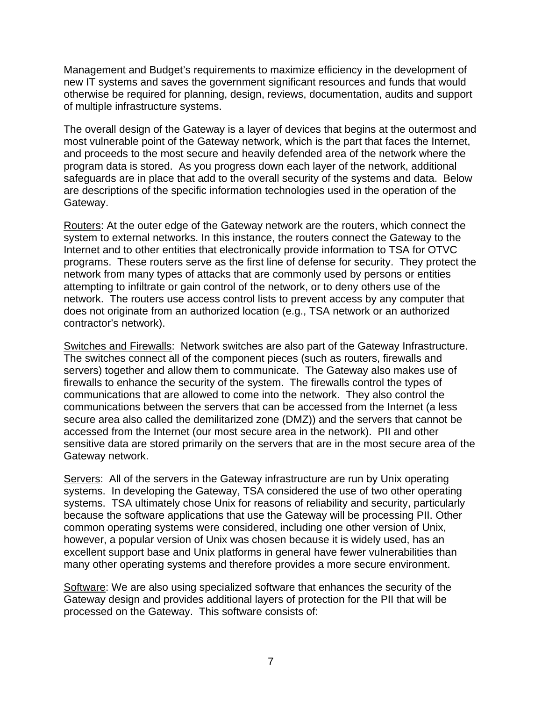Management and Budget's requirements to maximize efficiency in the development of new IT systems and saves the government significant resources and funds that would otherwise be required for planning, design, reviews, documentation, audits and support of multiple infrastructure systems.

The overall design of the Gateway is a layer of devices that begins at the outermost and most vulnerable point of the Gateway network, which is the part that faces the Internet, and proceeds to the most secure and heavily defended area of the network where the program data is stored. As you progress down each layer of the network, additional safeguards are in place that add to the overall security of the systems and data. Below are descriptions of the specific information technologies used in the operation of the Gateway.

Routers: At the outer edge of the Gateway network are the routers, which connect the system to external networks. In this instance, the routers connect the Gateway to the Internet and to other entities that electronically provide information to TSA for OTVC programs. These routers serve as the first line of defense for security. They protect the network from many types of attacks that are commonly used by persons or entities attempting to infiltrate or gain control of the network, or to deny others use of the network. The routers use access control lists to prevent access by any computer that does not originate from an authorized location (e.g., TSA network or an authorized contractor's network).

Switches and Firewalls: Network switches are also part of the Gateway Infrastructure. The switches connect all of the component pieces (such as routers, firewalls and servers) together and allow them to communicate. The Gateway also makes use of firewalls to enhance the security of the system. The firewalls control the types of communications that are allowed to come into the network. They also control the communications between the servers that can be accessed from the Internet (a less secure area also called the demilitarized zone (DMZ)) and the servers that cannot be accessed from the Internet (our most secure area in the network). PII and other sensitive data are stored primarily on the servers that are in the most secure area of the Gateway network.

Servers: All of the servers in the Gateway infrastructure are run by Unix operating systems. In developing the Gateway, TSA considered the use of two other operating systems. TSA ultimately chose Unix for reasons of reliability and security, particularly because the software applications that use the Gateway will be processing PII. Other common operating systems were considered, including one other version of Unix, however, a popular version of Unix was chosen because it is widely used, has an excellent support base and Unix platforms in general have fewer vulnerabilities than many other operating systems and therefore provides a more secure environment.

Software: We are also using specialized software that enhances the security of the Gateway design and provides additional layers of protection for the PII that will be processed on the Gateway. This software consists of: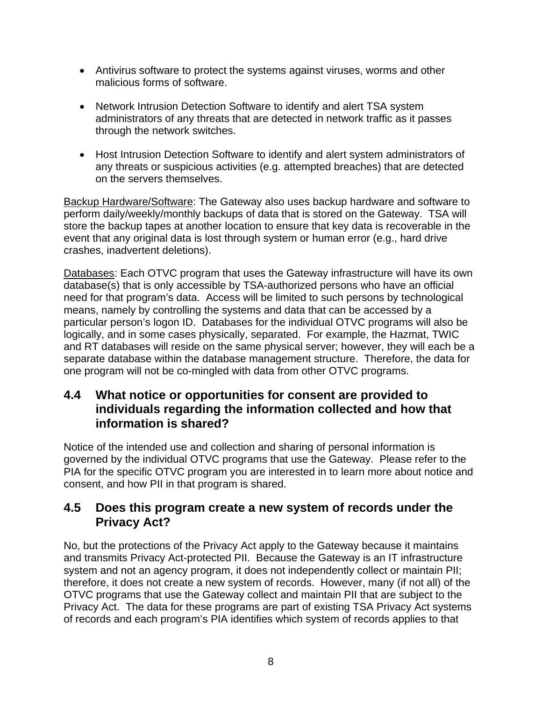- Antivirus software to protect the systems against viruses, worms and other malicious forms of software.
- Network Intrusion Detection Software to identify and alert TSA system administrators of any threats that are detected in network traffic as it passes through the network switches.
- Host Intrusion Detection Software to identify and alert system administrators of any threats or suspicious activities (e.g. attempted breaches) that are detected on the servers themselves.

Backup Hardware/Software: The Gateway also uses backup hardware and software to perform daily/weekly/monthly backups of data that is stored on the Gateway. TSA will store the backup tapes at another location to ensure that key data is recoverable in the event that any original data is lost through system or human error (e.g., hard drive crashes, inadvertent deletions).

Databases: Each OTVC program that uses the Gateway infrastructure will have its own database(s) that is only accessible by TSA-authorized persons who have an official need for that program's data. Access will be limited to such persons by technological means, namely by controlling the systems and data that can be accessed by a particular person's logon ID. Databases for the individual OTVC programs will also be logically, and in some cases physically, separated. For example, the Hazmat, TWIC and RT databases will reside on the same physical server; however, they will each be a separate database within the database management structure. Therefore, the data for one program will not be co-mingled with data from other OTVC programs.

### **4.4 What notice or opportunities for consent are provided to individuals regarding the information collected and how that information is shared?**

Notice of the intended use and collection and sharing of personal information is governed by the individual OTVC programs that use the Gateway. Please refer to the PIA for the specific OTVC program you are interested in to learn more about notice and consent, and how PII in that program is shared.

### **4.5 Does this program create a new system of records under the Privacy Act?**

No, but the protections of the Privacy Act apply to the Gateway because it maintains and transmits Privacy Act-protected PII. Because the Gateway is an IT infrastructure system and not an agency program, it does not independently collect or maintain PII; therefore, it does not create a new system of records. However, many (if not all) of the OTVC programs that use the Gateway collect and maintain PII that are subject to the Privacy Act. The data for these programs are part of existing TSA Privacy Act systems of records and each program's PIA identifies which system of records applies to that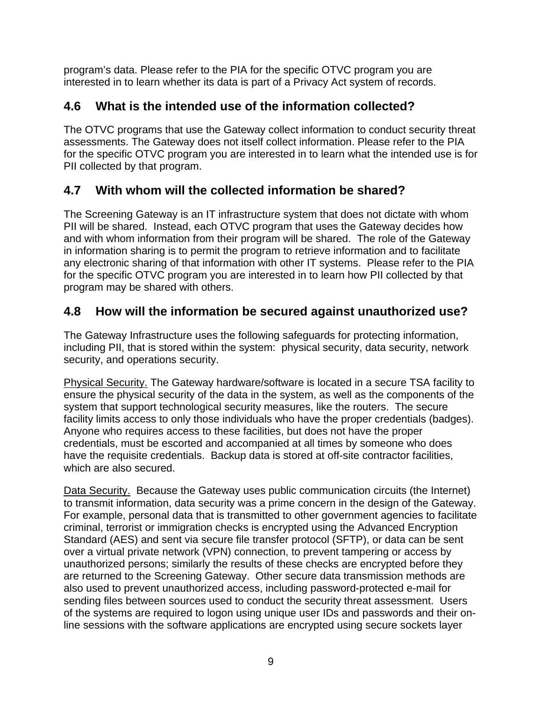program's data. Please refer to the PIA for the specific OTVC program you are interested in to learn whether its data is part of a Privacy Act system of records.

## **4.6 What is the intended use of the information collected?**

The OTVC programs that use the Gateway collect information to conduct security threat assessments. The Gateway does not itself collect information. Please refer to the PIA for the specific OTVC program you are interested in to learn what the intended use is for PII collected by that program.

## **4.7 With whom will the collected information be shared?**

The Screening Gateway is an IT infrastructure system that does not dictate with whom PII will be shared. Instead, each OTVC program that uses the Gateway decides how and with whom information from their program will be shared. The role of the Gateway in information sharing is to permit the program to retrieve information and to facilitate any electronic sharing of that information with other IT systems. Please refer to the PIA for the specific OTVC program you are interested in to learn how PII collected by that program may be shared with others.

## **4.8 How will the information be secured against unauthorized use?**

The Gateway Infrastructure uses the following safeguards for protecting information, including PII, that is stored within the system: physical security, data security, network security, and operations security.

Physical Security. The Gateway hardware/software is located in a secure TSA facility to ensure the physical security of the data in the system, as well as the components of the system that support technological security measures, like the routers. The secure facility limits access to only those individuals who have the proper credentials (badges). Anyone who requires access to these facilities, but does not have the proper credentials, must be escorted and accompanied at all times by someone who does have the requisite credentials. Backup data is stored at off-site contractor facilities, which are also secured.

Data Security. Because the Gateway uses public communication circuits (the Internet) to transmit information, data security was a prime concern in the design of the Gateway. For example, personal data that is transmitted to other government agencies to facilitate criminal, terrorist or immigration checks is encrypted using the Advanced Encryption Standard (AES) and sent via secure file transfer protocol (SFTP), or data can be sent over a virtual private network (VPN) connection, to prevent tampering or access by unauthorized persons; similarly the results of these checks are encrypted before they are returned to the Screening Gateway. Other secure data transmission methods are also used to prevent unauthorized access, including password-protected e-mail for sending files between sources used to conduct the security threat assessment. Users of the systems are required to logon using unique user IDs and passwords and their online sessions with the software applications are encrypted using secure sockets layer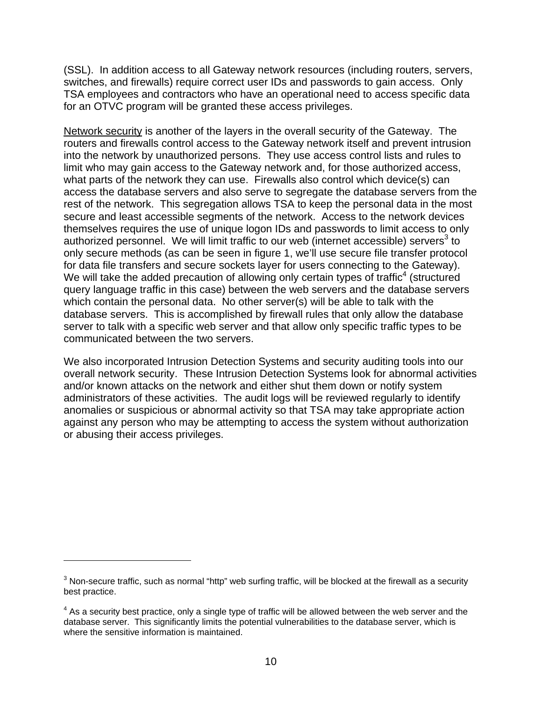(SSL). In addition access to all Gateway network resources (including routers, servers, switches, and firewalls) require correct user IDs and passwords to gain access. Only TSA employees and contractors who have an operational need to access specific data for an OTVC program will be granted these access privileges.

Network security is another of the layers in the overall security of the Gateway. The routers and firewalls control access to the Gateway network itself and prevent intrusion into the network by unauthorized persons. They use access control lists and rules to limit who may gain access to the Gateway network and, for those authorized access, what parts of the network they can use. Firewalls also control which device(s) can access the database servers and also serve to segregate the database servers from the rest of the network. This segregation allows TSA to keep the personal data in the most secure and least accessible segments of the network. Access to the network devices themselves requires the use of unique logon IDs and passwords to limit access to only authorized personnel. We will limit traffic to our web (internet accessible) servers<sup>3</sup> to only secure methods (as can be seen in figure 1, we'll use secure file transfer protocol for data file transfers and secure sockets layer for users connecting to the Gateway). We will take the added precaution of allowing only certain types of traffic<sup>4</sup> (structured query language traffic in this case) between the web servers and the database servers which contain the personal data. No other server(s) will be able to talk with the database servers. This is accomplished by firewall rules that only allow the database server to talk with a specific web server and that allow only specific traffic types to be communicated between the two servers.

We also incorporated Intrusion Detection Systems and security auditing tools into our overall network security. These Intrusion Detection Systems look for abnormal activities and/or known attacks on the network and either shut them down or notify system administrators of these activities. The audit logs will be reviewed regularly to identify anomalies or suspicious or abnormal activity so that TSA may take appropriate action against any person who may be attempting to access the system without authorization or abusing their access privileges.

1

 $^3$  Non-secure traffic, such as normal "http" web surfing traffic, will be blocked at the firewall as a security best practice.

 $4$  As a security best practice, only a single type of traffic will be allowed between the web server and the database server. This significantly limits the potential vulnerabilities to the database server, which is where the sensitive information is maintained.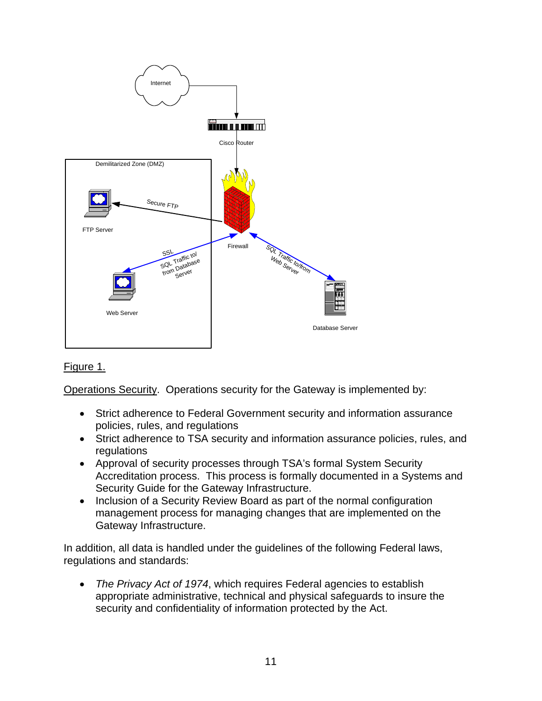

#### Figure 1.

Operations Security. Operations security for the Gateway is implemented by:

- Strict adherence to Federal Government security and information assurance policies, rules, and regulations
- Strict adherence to TSA security and information assurance policies, rules, and regulations
- Approval of security processes through TSA's formal System Security Accreditation process. This process is formally documented in a Systems and Security Guide for the Gateway Infrastructure.
- Inclusion of a Security Review Board as part of the normal configuration management process for managing changes that are implemented on the Gateway Infrastructure.

In addition, all data is handled under the guidelines of the following Federal laws, regulations and standards:

• *The Privacy Act of 1974*, which requires Federal agencies to establish appropriate administrative, technical and physical safeguards to insure the security and confidentiality of information protected by the Act.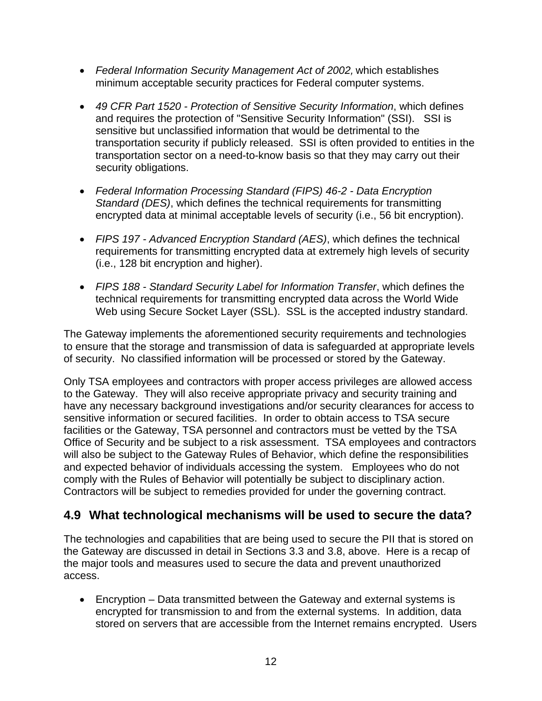- *Federal Information Security Management Act of 2002,* which establishes minimum acceptable security practices for Federal computer systems.
- *49 CFR Part 1520 Protection of Sensitive Security Information*, which defines and requires the protection of "Sensitive Security Information" (SSI). SSI is sensitive but unclassified information that would be detrimental to the transportation security if publicly released. SSI is often provided to entities in the transportation sector on a need-to-know basis so that they may carry out their security obligations.
- *Federal Information Processing Standard (FIPS) 46-2 Data Encryption Standard (DES)*, which defines the technical requirements for transmitting encrypted data at minimal acceptable levels of security (i.e., 56 bit encryption).
- *FIPS 197 Advanced Encryption Standard (AES)*, which defines the technical requirements for transmitting encrypted data at extremely high levels of security (i.e., 128 bit encryption and higher).
- *FIPS 188 Standard Security Label for Information Transfer*, which defines the technical requirements for transmitting encrypted data across the World Wide Web using Secure Socket Layer (SSL). SSL is the accepted industry standard.

The Gateway implements the aforementioned security requirements and technologies to ensure that the storage and transmission of data is safeguarded at appropriate levels of security. No classified information will be processed or stored by the Gateway.

Only TSA employees and contractors with proper access privileges are allowed access to the Gateway. They will also receive appropriate privacy and security training and have any necessary background investigations and/or security clearances for access to sensitive information or secured facilities. In order to obtain access to TSA secure facilities or the Gateway, TSA personnel and contractors must be vetted by the TSA Office of Security and be subject to a risk assessment. TSA employees and contractors will also be subject to the Gateway Rules of Behavior, which define the responsibilities and expected behavior of individuals accessing the system. Employees who do not comply with the Rules of Behavior will potentially be subject to disciplinary action. Contractors will be subject to remedies provided for under the governing contract.

## **4.9 What technological mechanisms will be used to secure the data?**

The technologies and capabilities that are being used to secure the PII that is stored on the Gateway are discussed in detail in Sections 3.3 and 3.8, above. Here is a recap of the major tools and measures used to secure the data and prevent unauthorized access.

• Encryption – Data transmitted between the Gateway and external systems is encrypted for transmission to and from the external systems. In addition, data stored on servers that are accessible from the Internet remains encrypted. Users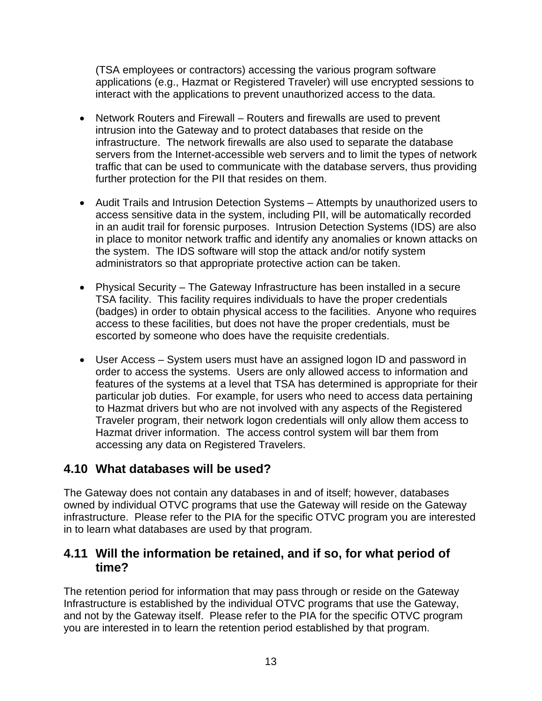(TSA employees or contractors) accessing the various program software applications (e.g., Hazmat or Registered Traveler) will use encrypted sessions to interact with the applications to prevent unauthorized access to the data.

- Network Routers and Firewall Routers and firewalls are used to prevent intrusion into the Gateway and to protect databases that reside on the infrastructure. The network firewalls are also used to separate the database servers from the Internet-accessible web servers and to limit the types of network traffic that can be used to communicate with the database servers, thus providing further protection for the PII that resides on them.
- Audit Trails and Intrusion Detection Systems Attempts by unauthorized users to access sensitive data in the system, including PII, will be automatically recorded in an audit trail for forensic purposes. Intrusion Detection Systems (IDS) are also in place to monitor network traffic and identify any anomalies or known attacks on the system. The IDS software will stop the attack and/or notify system administrators so that appropriate protective action can be taken.
- Physical Security The Gateway Infrastructure has been installed in a secure TSA facility. This facility requires individuals to have the proper credentials (badges) in order to obtain physical access to the facilities. Anyone who requires access to these facilities, but does not have the proper credentials, must be escorted by someone who does have the requisite credentials.
- User Access System users must have an assigned logon ID and password in order to access the systems. Users are only allowed access to information and features of the systems at a level that TSA has determined is appropriate for their particular job duties. For example, for users who need to access data pertaining to Hazmat drivers but who are not involved with any aspects of the Registered Traveler program, their network logon credentials will only allow them access to Hazmat driver information. The access control system will bar them from accessing any data on Registered Travelers.

### **4.10 What databases will be used?**

The Gateway does not contain any databases in and of itself; however, databases owned by individual OTVC programs that use the Gateway will reside on the Gateway infrastructure. Please refer to the PIA for the specific OTVC program you are interested in to learn what databases are used by that program.

### **4.11 Will the information be retained, and if so, for what period of time?**

The retention period for information that may pass through or reside on the Gateway Infrastructure is established by the individual OTVC programs that use the Gateway, and not by the Gateway itself. Please refer to the PIA for the specific OTVC program you are interested in to learn the retention period established by that program.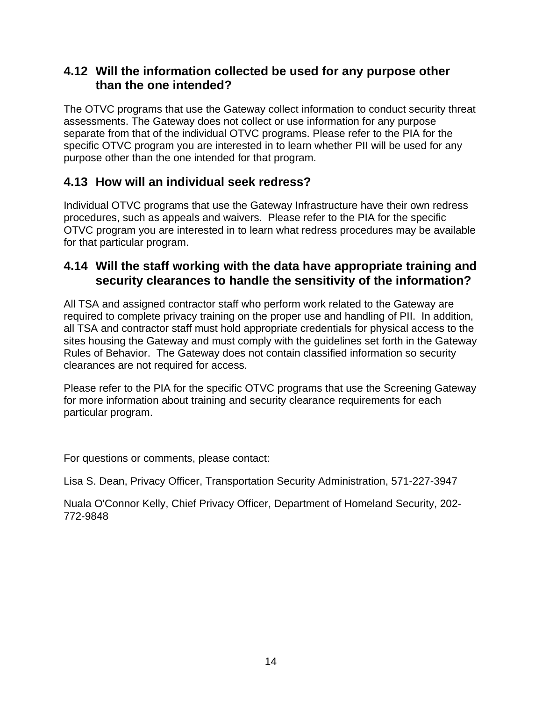### **4.12 Will the information collected be used for any purpose other than the one intended?**

The OTVC programs that use the Gateway collect information to conduct security threat assessments. The Gateway does not collect or use information for any purpose separate from that of the individual OTVC programs. Please refer to the PIA for the specific OTVC program you are interested in to learn whether PII will be used for any purpose other than the one intended for that program.

## **4.13 How will an individual seek redress?**

Individual OTVC programs that use the Gateway Infrastructure have their own redress procedures, such as appeals and waivers. Please refer to the PIA for the specific OTVC program you are interested in to learn what redress procedures may be available for that particular program.

### **4.14 Will the staff working with the data have appropriate training and security clearances to handle the sensitivity of the information?**

All TSA and assigned contractor staff who perform work related to the Gateway are required to complete privacy training on the proper use and handling of PII. In addition, all TSA and contractor staff must hold appropriate credentials for physical access to the sites housing the Gateway and must comply with the guidelines set forth in the Gateway Rules of Behavior. The Gateway does not contain classified information so security clearances are not required for access.

Please refer to the PIA for the specific OTVC programs that use the Screening Gateway for more information about training and security clearance requirements for each particular program.

For questions or comments, please contact:

Lisa S. Dean, Privacy Officer, Transportation Security Administration, 571-227-3947

Nuala O'Connor Kelly, Chief Privacy Officer, Department of Homeland Security, 202- 772-9848